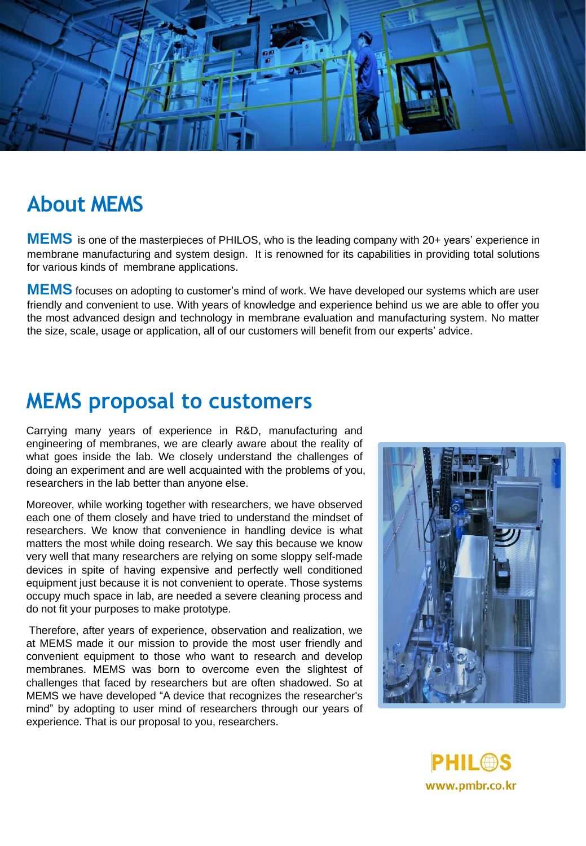

## **About MEMS**

**MEMS** is one of the masterpieces of PHILOS, who is the leading company with 20+ years' experience in membrane manufacturing and system design. It is renowned for its capabilities in providing total solutions for various kinds of membrane applications.

**MEMS** focuses on adopting to customer's mind of work. We have developed our systems which are user friendly and convenient to use. With years of knowledge and experience behind us we are able to offer you the most advanced design and technology in membrane evaluation and manufacturing system. No matter the size, scale, usage or application, all of our customers will benefit from our experts' advice.

## **MEMS proposal to customers**

Carrying many years of experience in R&D, manufacturing and engineering of membranes, we are clearly aware about the reality of what goes inside the lab. We closely understand the challenges of doing an experiment and are well acquainted with the problems of you, researchers in the lab better than anyone else.

Moreover, while working together with researchers, we have observed each one of them closely and have tried to understand the mindset of researchers. We know that convenience in handling device is what matters the most while doing research. We say this because we know very well that many researchers are relying on some sloppy self-made devices in spite of having expensive and perfectly well conditioned equipment just because it is not convenient to operate. Those systems occupy much space in lab, are needed a severe cleaning process and do not fit your purposes to make prototype.

Therefore, after years of experience, observation and realization, we at MEMS made it our mission to provide the most user friendly and convenient equipment to those who want to research and develop membranes. MEMS was born to overcome even the slightest of challenges that faced by researchers but are often shadowed. So at MEMS we have developed "A device that recognizes the researcher's mind" by adopting to user mind of researchers through our years of experience. That is our proposal to you, researchers.



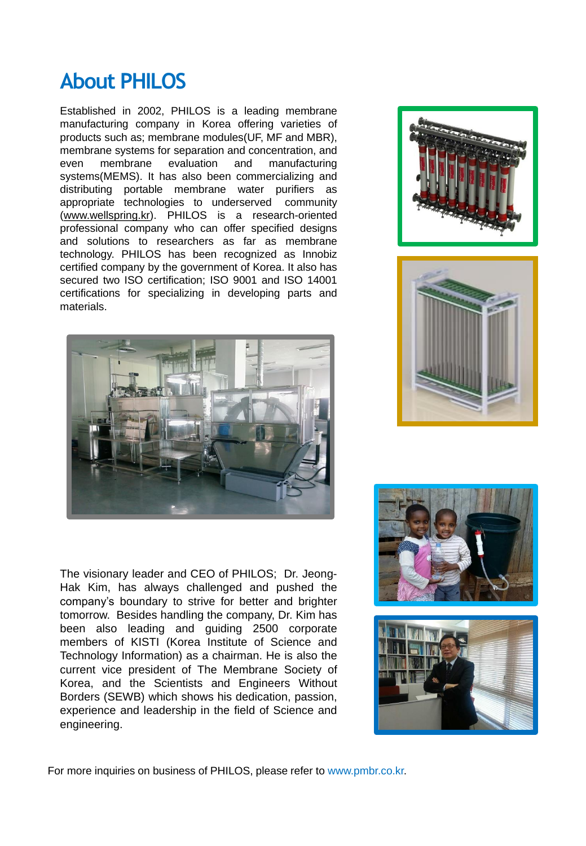# **About PHILOS**

Established in 2002, PHILOS is a leading membrane manufacturing company in Korea offering varieties of products such as; membrane modules(UF, MF and MBR), membrane systems for separation and concentration, and even membrane evaluation and manufacturing systems(MEMS). It has also been commercializing and distributing portable membrane water purifiers as appropriate technologies to underserved community ([www.wellspring.kr](http://www.wellspring.kr/)). PHILOS is a research-oriented professional company who can offer specified designs and solutions to researchers as far as membrane technology. PHILOS has been recognized as Innobiz certified company by the government of Korea. It also has secured two ISO certification; ISO 9001 and ISO 14001 certifications for specializing in developing parts and materials.



The visionary leader and CEO of PHILOS; Dr. Jeong-Hak Kim, has always challenged and pushed the company's boundary to strive for better and brighter tomorrow. Besides handling the company, Dr. Kim has been also leading and guiding 2500 corporate members of KISTI (Korea Institute of Science and Technology Information) as a chairman. He is also the current vice president of The Membrane Society of Korea, and the Scientists and Engineers Without Borders (SEWB) which shows his dedication, passion, experience and leadership in the field of Science and engineering.









For more inquiries on business of PHILOS, please refer to www.pmbr.co.kr.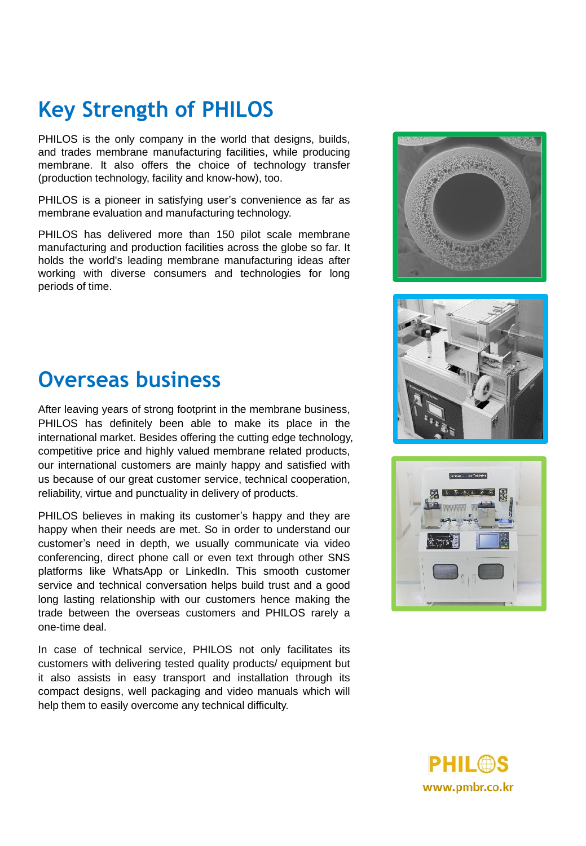# **Key Strength of PHILOS**

PHILOS is the only company in the world that designs, builds, and trades membrane manufacturing facilities, while producing membrane. It also offers the choice of technology transfer (production technology, facility and know-how), too.

PHILOS is a pioneer in satisfying user's convenience as far as membrane evaluation and manufacturing technology.

PHILOS has delivered more than 150 pilot scale membrane manufacturing and production facilities across the globe so far. It holds the world's leading membrane manufacturing ideas after working with diverse consumers and technologies for long periods of time.







#### **Overseas business**

After leaving years of strong footprint in the membrane business, PHILOS has definitely been able to make its place in the international market. Besides offering the cutting edge technology, competitive price and highly valued membrane related products, our international customers are mainly happy and satisfied with us because of our great customer service, technical cooperation, reliability, virtue and punctuality in delivery of products.

PHILOS believes in making its customer's happy and they are happy when their needs are met. So in order to understand our customer's need in depth, we usually communicate via video conferencing, direct phone call or even text through other SNS platforms like WhatsApp or LinkedIn. This smooth customer service and technical conversation helps build trust and a good long lasting relationship with our customers hence making the trade between the overseas customers and PHILOS rarely a one-time deal.

In case of technical service, PHILOS not only facilitates its customers with delivering tested quality products/ equipment but it also assists in easy transport and installation through its compact designs, well packaging and video manuals which will help them to easily overcome any technical difficulty.